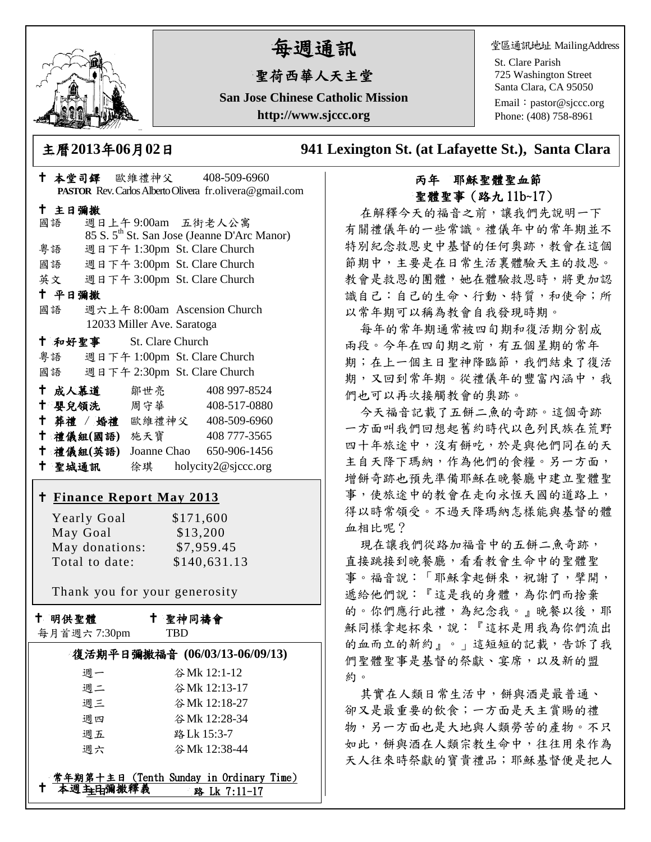

# 每週通訊

# 聖荷西華人天主堂

**San Jose Chinese Catholic Mission http://www.sjccc.org**

主曆**2013**年**06**月**02**日 **941 Lexington St. (at Lafayette St.), Santa Clara** 

## 本堂司鐸 歐維禮神父 408-509-6960 **PASTOR** Rev. Carlos Alberto Olivera fr.olivera@gmail.com 主日彌撒 國語 週日上午 9:00am 五街老人公寓 85 S. 5th St. San Jose (Jeanne D'Arc Manor) 粵語 週日下午 1:30pm St. Clare Church 國語 週日下午 3:00pm St. Clare Church 英文 週日下午 3:00pm St. Clare Church 平日彌撒 國語 週六上午 8:00am Ascension Church 12033 Miller Ave. Saratoga 和好聖事 St. Clare Church 粵語 週日下午 1:00pm St. Clare Church 國語 週日下午 2:30pm St. Clare Church 成人慕道 鄒世亮 408 997-8524 嬰兒領洗 周守華 408-517-0880 葬禮 / 婚禮 歐維禮神父 408-509-6960 禮儀組**(**國語**)** 施天寶 408 777-3565 禮儀組**(**英語**)** Joanne Chao 650-906-1456 聖城通訊 徐琪 holycity2@sjccc.org **Finance [Report May](http://sjccc.org/index.php/finance.html?src=bulletin112512) 2013** Yearly Goal  $$171,600$ May Goal \$13,200

 May donations: \$7,959.45 Total to date: \$140,631.13

Thank you for your generosity

十 明供聖體

聖神同禱會

|  | 每月首週六7:30pm |  |
|--|-------------|--|
|--|-------------|--|

#### **TRD**

| 復活期平日彌撒福音 (06/03/13-06/09/13) |              |  |
|-------------------------------|--------------|--|
| 调一                            | 谷Mk 12:1-12  |  |
| 週二                            | 谷Mk 12:13-17 |  |
| 週三                            | 谷Mk 12:18-27 |  |
| 调四                            | 谷Mk 12:28-34 |  |
| 週五                            | 路 Lk 15:3-7  |  |
| 週六                            | 谷Mk 12:38-44 |  |

#### 本週主日彌撒釋義 **常年期第十主日 (Tenth Sunday in Ordinary Time)** 路 Lk 7:11-17

### 丙年 耶穌聖體聖血節 聖體聖事(路九 11b~17)

在解釋今天的福音之前,讓我們先說明一下 有關禮儀年的一些常識。禮儀年中的常年期並不 特別紀念救恩史中基督的任何奧跡,教會在這個 節期中,主要是在日常生活裏體驗天主的救恩。 教會是救恩的團體,她在體驗救恩時,將更加認 識自己:自己的生命、行動、特質,和使命;所 以常年期可以稱為教會自我發現時期。

每年的常年期通常被四旬期和復活期分割成 兩段。今年在四旬期之前,有五個星期的常年 期;在上一個主日聖神降臨節,我們結束了復活 期,又回到常年期。從禮儀年的豐富內涵中,我 們也可以再次接觸教會的奧跡。

今天福音記載了五餅二魚的奇跡。這個奇跡 一方面叫我們回想起舊約時代以色列民族在荒野 四十年旅途中,沒有餅吃,於是與他們同在的天 主自天降下瑪納,作為他們的食糧。另一方面, 增餅奇跡也預先準備耶穌在晚餐廳中建立聖體聖 事,使旅途中的教會在走向永恆天國的道路上, 得以時常領受。不過天降瑪納怎樣能與基督的體 血相比呢?

現在讓我們從路加福音中的五餅二魚奇跡, 直接跳接到晚餐廳,看看教會生命中的聖體聖 事。福音說:「耶穌拿起餅來,祝謝了,擘開, 遞給他們說:『這是我的身體,為你們而捨棄 的。你們應行此禮,為紀念我。』晚餐以後,耶 穌同樣拿起杯來,說:『這杯是用我為你們流出 的血而立的新約』。」這短短的記載,告訴了我 們聖體聖事是基督的祭獻、宴席,以及新的盟 約。

其實在人類日常生活中,餅與酒是最普通、 卻又是最重要的飲食;一方面是天主賞賜的禮 物,另一方面也是大地與人類勞苦的產物。不只 如此,餅與酒在人類宗教生命中,往往用來作為 天人往來時祭獻的寶貴禮品;耶穌基督便是把人

堂區通訊地址 MailingAddress

St. Clare Parish 725 Washington Street Santa Clara, CA 95050

Email: [pastor@sjccc.org](mailto:pastor@sjccc.org) Phone: (408) 758-8961